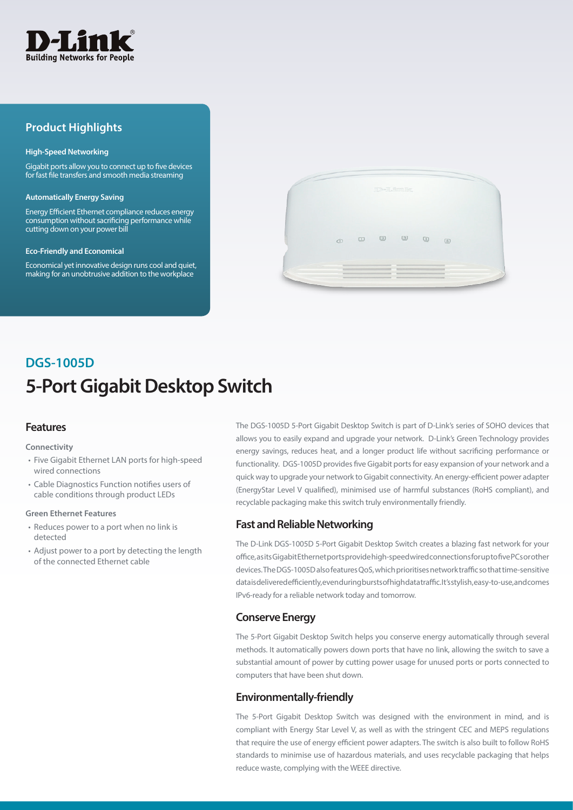

## **Product Highlights**

#### **High-Speed Networking**

Gigabit ports allow you to connect up to five devices for fast file transfers and smooth media streaming

#### **Automatically Energy Saving**

Energy Efficient Ethernet compliance reduces energy consumption without sacrificing performance while cutting down on your power bill

#### **Eco-Friendly and Economical**

Economical yet innovative design runs cool and quiet, making for an unobtrusive addition to the workplace



# **5-Port Gigabit Desktop Switch DGS-1005D**

## **Features**

#### **Connectivity**

- Five Gigabit Ethernet LAN ports for high-speed wired connections
- Cable Diagnostics Function notifies users of cable conditions through product LEDs

#### **Green Ethernet Features**

- Reduces power to a port when no link is detected
- Adjust power to a port by detecting the length of the connected Ethernet cable

The DGS-1005D 5-Port Gigabit Desktop Switch is part of D-Link's series of SOHO devices that allows you to easily expand and upgrade your network. D-Link's Green Technology provides energy savings, reduces heat, and a longer product life without sacrificing performance or functionality. DGS-1005D provides five Gigabit ports for easy expansion of your network and a quick way to upgrade your network to Gigabit connectivity. An energy-efficient power adapter (EnergyStar Level V qualified), minimised use of harmful substances (RoHS compliant), and recyclable packaging make this switch truly environmentally friendly.

## **Fast and Reliable Networking**

The D-Link DGS-1005D 5-Port Gigabit Desktop Switch creates a blazing fast network for your office, as its Gigabit Ethernet ports provide high-speed wired connections for up to five PCs or other devices. The DGS-1005D also features QoS, which prioritises network traffic so that time-sensitive data is delivered efficiently, even during bursts of high data traffic. It's stylish, easy-to-use, and comes IPv6-ready for a reliable network today and tomorrow.

## **Conserve Energy**

The 5-Port Gigabit Desktop Switch helps you conserve energy automatically through several methods. It automatically powers down ports that have no link, allowing the switch to save a substantial amount of power by cutting power usage for unused ports or ports connected to computers that have been shut down.

## **Environmentally-friendly**

The 5-Port Gigabit Desktop Switch was designed with the environment in mind, and is compliant with Energy Star Level V, as well as with the stringent CEC and MEPS regulations that require the use of energy efficient power adapters. The switch is also built to follow RoHS standards to minimise use of hazardous materials, and uses recyclable packaging that helps reduce waste, complying with the WEEE directive.